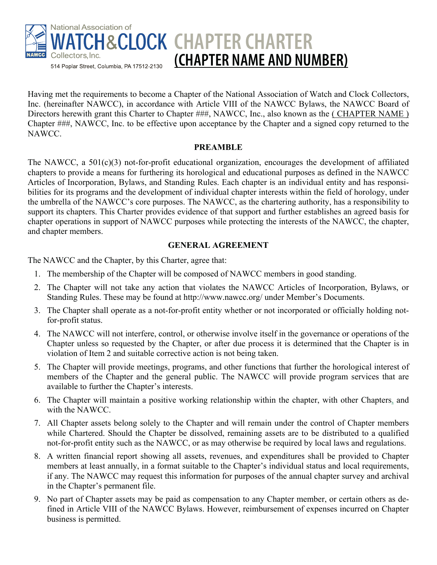

Having met the requirements to become a Chapter of the National Association of Watch and Clock Collectors, Inc. (hereinafter NAWCC), in accordance with Article VIII of the NAWCC Bylaws, the NAWCC Board of Directors herewith grant this Charter to Chapter ###, NAWCC, Inc., also known as the (CHAPTER NAME) Chapter ###, NAWCC, Inc. to be effective upon acceptance by the Chapter and a signed copy returned to the NAWCC.

## **PREAMBLE**

The NAWCC, a 501(c)(3) not-for-profit educational organization, encourages the development of affiliated chapters to provide a means for furthering its horological and educational purposes as defined in the NAWCC Articles of Incorporation, Bylaws, and Standing Rules. Each chapter is an individual entity and has responsibilities for its programs and the development of individual chapter interests within the field of horology, under the umbrella of the NAWCC's core purposes. The NAWCC, as the chartering authority, has a responsibility to support its chapters. This Charter provides evidence of that support and further establishes an agreed basis for chapter operations in support of NAWCC purposes while protecting the interests of the NAWCC, the chapter, and chapter members.

## **GENERAL AGREEMENT**

The NAWCC and the Chapter, by this Charter, agree that:

- 1. The membership of the Chapter will be composed of NAWCC members in good standing.
- 2. The Chapter will not take any action that violates the NAWCC Articles of Incorporation, Bylaws, or Standing Rules. These may be found at http://www.nawcc.org/ under Member's Documents.
- 3. The Chapter shall operate as a not-for-profit entity whether or not incorporated or officially holding notfor-profit status.
- 4. The NAWCC will not interfere, control, or otherwise involve itself in the governance or operations of the Chapter unless so requested by the Chapter, or after due process it is determined that the Chapter is in violation of Item 2 and suitable corrective action is not being taken.
- 5. The Chapter will provide meetings, programs, and other functions that further the horological interest of members of the Chapter and the general public. The NAWCC will provide program services that are available to further the Chapter's interests.
- 6. The Chapter will maintain a positive working relationship within the chapter, with other Chapters, and with the NAWCC.
- 7. All Chapter assets belong solely to the Chapter and will remain under the control of Chapter members while Chartered. Should the Chapter be dissolved, remaining assets are to be distributed to a qualified not-for-profit entity such as the NAWCC, or as may otherwise be required by local laws and regulations.
- 8. A written financial report showing all assets, revenues, and expenditures shall be provided to Chapter members at least annually, in a format suitable to the Chapter's individual status and local requirements, if any. The NAWCC may request this information for purposes of the annual chapter survey and archival in the Chapter's permanent file.
- 9. No part of Chapter assets may be paid as compensation to any Chapter member, or certain others as defined in Article VIII of the NAWCC Bylaws. However, reimbursement of expenses incurred on Chapter business is permitted.